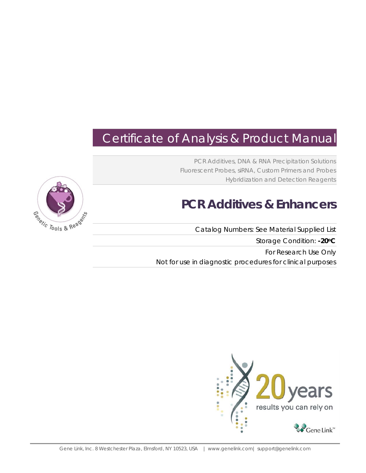# Certificate of Analysis & Product Manual

PCR Additives, DNA & RNA Precipitation Solutions Fluorescent Probes, siRNA, Custom Primers and Probes Hybridization and Detection Reagents

# **PCR Additives & Enhancers**

Catalog Numbers: See Material Supplied List Storage Condition: **-20oC** For Research Use Only

Not for use in diagnostic procedures for clinical purposes



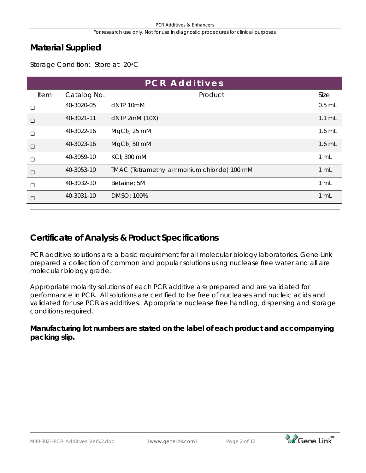## **Material Supplied**

Storage Condition: Store at -20°C

| <b>PCR Additives</b> |             |                                             |          |  |
|----------------------|-------------|---------------------------------------------|----------|--|
| Item                 | Catalog No. | Product                                     | Size     |  |
| $\Box$               | 40-3020-05  | dNTP 10mM                                   | $0.5$ mL |  |
| $\Box$               | 40-3021-11  | dNTP 2mM (10X)                              | $1.1$ mL |  |
| $\Box$               | 40-3022-16  | MgCl <sub>2</sub> ; 25 mM                   | 1.6 mL   |  |
| $\Box$               | 40-3023-16  | MgCl <sub>2</sub> ; 50 mM                   | $1.6$ mL |  |
| $\Box$               | 40-3059-10  | KCI: 300 mM                                 | 1 mL     |  |
| $\Box$               | 40-3053-10  | TMAC (Tetramethyl ammonium chloride) 100 mM | 1 mL     |  |
| $\Box$               | 40-3032-10  | Betaine; 5M                                 | 1 mL     |  |
|                      | 40-3031-10  | DMSO; 100%                                  | 1 mL     |  |

# **Certificate of Analysis & Product Specifications**

PCR additive solutions are a basic requirement for all molecular biology laboratories. Gene Link prepared a collection of common and popular solutions using nuclease free water and all are molecular biology grade.

Appropriate molarity solutions of each PCR additive are prepared and are validated for performance in PCR. All solutions are certified to be free of nucleases and nucleic acids and validated for use PCR as additives. Appropriate nuclease free handling, dispensing and storage conditions required.

**Manufacturing lot numbers are stated on the label of each product and accompanying packing slip.**

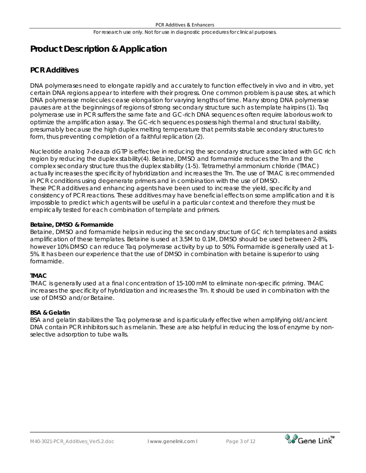# **Product Description & Application**

### **PCR Additives**

DNA polymerases need to elongate rapidly and accurately to function effectively *in vivo* and *in vitro*, yet certain DNA regions appear to interfere with their progress. One common problem is pause sites, at which DNA polymerase molecules cease elongation for varying lengths of time. Many strong DNA polymerase pauses are at the beginnings of regions of strong secondary structure such as template hairpins (1). Taq polymerase use in PCR suffers the same fate and GC-rich DNA sequences often require laborious work to optimize the amplification assay. The GC-rich sequences possess high thermal and structural stability, presumably because the high duplex melting temperature that permits stable secondary structures to form, thus preventing completion of a faithful replication (2).

Nucleotide analog 7-deaza dGTP is effective in reducing the secondary structure associated with GC rich region by reducing the duplex stability(4). Betaine, DMSO and formamide reduces the Tm and the complex secondary structure thus the duplex stability (1-5). Tetramethyl ammonium chloride (TMAC) actually increases the specificity of hybridization and increases the Tm. The use of TMAC is recommended in PCR conditions using degenerate primers and in combination with the use of DMSO. These PCR additives and enhancing agents have been used to increase the yield, specificity and consistency of PCR reactions. These additives may have beneficial effects on some amplification and it is impossible to predict which agents will be useful in a particular context and therefore they must be empirically tested for each combination of template and primers.

### **Betaine, DMSO & Formamide**

Betaine, DMSO and formamide helps in reducing the secondary structure of GC rich templates and assists amplification of these templates. Betaine is used at 3.5M to 0.1M, DMSO should be used between 2-8%, however 10% DMSO can reduce *Taq* polymerase activity by up to 50%. Formamide is generally used at 1- 5%. It has been our experience that the use of DMSO in combination with betaine is superior to using formamide.

### **TMAC**

TMAC is generally used at a final concentration of 15-100 mM to eliminate non-specific priming. TMAC increases the specificity of hybridization and increases the Tm. It should be used in combination with the use of DMSO and/or Betaine.

### **BSA & Gelatin**

BSA and gelatin stabilizes the Taq polymerase and is particularly effective when amplifying old/ancient DNA contain PCR inhibitors such as melanin. These are also helpful in reducing the loss of enzyme by nonselective adsorption to tube walls.



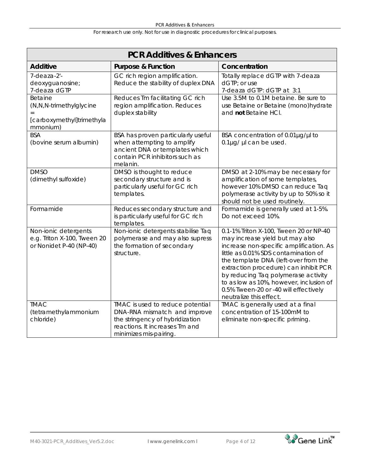| <b>PCR Additives &amp; Enhancers</b>                                           |                                                                                                                                                                 |                                                                                                                                                                                                                                                                                                                                                                                                     |  |  |
|--------------------------------------------------------------------------------|-----------------------------------------------------------------------------------------------------------------------------------------------------------------|-----------------------------------------------------------------------------------------------------------------------------------------------------------------------------------------------------------------------------------------------------------------------------------------------------------------------------------------------------------------------------------------------------|--|--|
| <b>Additive</b>                                                                | <b>Purpose &amp; Function</b>                                                                                                                                   | Concentration                                                                                                                                                                                                                                                                                                                                                                                       |  |  |
| 7-deaza-2'-<br>deoxyguanosine;<br>7-deaza dGTP                                 | GC rich region amplification.<br>Reduce the stability of duplex DNA                                                                                             | Totally replace dGTP with 7-deaza<br>dGTP; or use<br>7-deaza dGTP: dGTP at 3:1                                                                                                                                                                                                                                                                                                                      |  |  |
| Betaine<br>(N,N,N-trimethylglycine<br>[carboxymethyl]trimethyla<br>mmonium)    | Reduces Tm facilitating GC rich<br>region amplification. Reduces<br>duplex stability                                                                            | Use 3.5M to 0.1M betaine. Be sure to<br>use Betaine or Betaine (mono)hydrate<br>and not Betaine HCI.                                                                                                                                                                                                                                                                                                |  |  |
| <b>BSA</b><br>(bovine serum albumin)                                           | BSA has proven particularly useful<br>when attempting to amplify<br>ancient DNA or templates which<br>contain PCR inhibitors such as<br>melanin.                | BSA concentration of 0.01µg/µl to<br>0.1µg/ µl can be used.                                                                                                                                                                                                                                                                                                                                         |  |  |
| <b>DMSO</b><br>(dimethyl sulfoxide)                                            | DMSO is thought to reduce<br>secondary structure and is<br>particularly useful for GC rich<br>templates.                                                        | DMSO at 2-10% may be necessary for<br>amplification of some templates,<br>however 10% DMSO can reduce Taq<br>polymerase activity by up to 50% so it<br>should not be used routinely.                                                                                                                                                                                                                |  |  |
| Formamide                                                                      | Reduces secondary structure and<br>is particularly useful for GC rich<br>templates.                                                                             | Formamide is generally used at 1-5%.<br>Do not exceed 10%.                                                                                                                                                                                                                                                                                                                                          |  |  |
| Non-ionic detergents<br>e.g. Triton X-100, Tween 20<br>or Nonidet P-40 (NP-40) | Non-ionic detergents stabilise Taq<br>polymerase and may also supress<br>the formation of secondary<br>structure.                                               | 0.1-1% Triton X-100, Tween 20 or NP-40<br>may increase yield but may also<br>increase non-specific amplification. As<br>little as 0.01% SDS contamination of<br>the template DNA (left-over from the<br>extraction procedure) can inhibit PCR<br>by reducing Taq polymerase activity<br>to as low as 10%, however, inclusion of<br>0.5% Tween-20 or -40 will effectively<br>neutralize this effect. |  |  |
| <b>TMAC</b><br>(tetramethylammonium<br>chloride)                               | TMAC is used to reduce potential<br>DNA-RNA mismatch and improve<br>the stringency of hybridization<br>reactions. It increases Tm and<br>minimizes mis-pairing. | TMAC is generally used at a final<br>concentration of 15-100mM to<br>eliminate non-specific priming.                                                                                                                                                                                                                                                                                                |  |  |

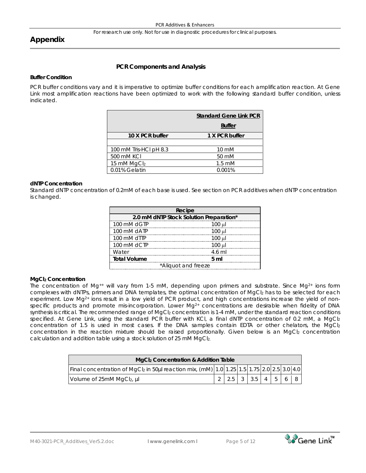### **Appendix**

### **PCR Components and Analysis**

#### **Buffer Condition**

PCR buffer conditions vary and it is imperative to optimize buffer conditions for each amplification reaction. At Gene Link most amplification reactions have been optimized to work with the following standard buffer condition, unless indicated.

| <b>Standard Gene Link PCR</b> |                  |
|-------------------------------|------------------|
|                               | <b>Buffer</b>    |
| 10 X PCR buffer               | 1 X PCR buffer   |
|                               |                  |
| 100 mM Tris-HCI pH 8.3        | $10 \text{ mM}$  |
| 500 mM KCI                    | 50 mM            |
| 15 mM MgCl2                   | $1.5 \text{ mM}$ |
| 0.01% Gelatin                 | 0.001%           |

#### **dNTP Concentration**

Standard dNTP concentration of 0.2mM of each base is used. See section on PCR additives when dNTP concentration is changed.

|                                         | Recipe         |  |  |
|-----------------------------------------|----------------|--|--|
| 2.0 mM dNTP Stock Solution Preparation* |                |  |  |
| 100 mM dGTP                             | $100 \mu$      |  |  |
| 100 mM dATP                             | $100 \mu$      |  |  |
| 100 mM dTTP                             | $100$ $\mu$    |  |  |
| 100 mM dCTP                             | $100 \mu$      |  |  |
| Water                                   | 4.6 ml         |  |  |
| <b>Total Volume</b>                     | 5 <sub>m</sub> |  |  |
| *Aliquot and freeze                     |                |  |  |

#### **MgCl2 Concentration**

The concentration of Mg<sup>++</sup> will vary from 1-5 mM, depending upon primers and substrate. Since Mg<sup>2+</sup> ions form complexes with dNTPs, primers and DNA templates, the optimal concentration of MgCl2 has to be selected for each experiment. Low Mg<sup>2+</sup> ions result in a low yield of PCR product, and high concentrations increase the yield of nonspecific products and promote mis-incorporation. Lower Mg<sup>2+</sup> concentrations are desirable when fidelity of DNA synthesis is critical. The recommended range of MgCl<sub>2</sub> concentration is 1-4 mM, under the standard reaction conditions specified. At Gene Link, using the standard PCR buffer with KCl, a final dNTP concentration of 0.2 mM, a MgCl2 concentration of 1.5 is used in most cases. If the DNA samples contain EDTA or other chelators, the MgCl2 concentration in the reaction mixture should be raised proportionally. Given below is an MgCl2 concentration calculation and addition table using a stock solution of 25 mM MgCl<sub>2.</sub>

| MgCl <sub>2</sub> Concentration & Addition Table                                          |  |                                                               |  |  |  |  |  |  |
|-------------------------------------------------------------------------------------------|--|---------------------------------------------------------------|--|--|--|--|--|--|
| Final concentration of MgCl2 in 50µl reaction mix, (mM) 1.0 1.25 1.5 1.75 2.0 2.5 3.0 4.0 |  |                                                               |  |  |  |  |  |  |
| Volume of 25mM MgCl2, µl                                                                  |  | $\vert 2.5 \vert 3 \vert 3.5 \vert 4 \vert 5 \vert 6 \vert 8$ |  |  |  |  |  |  |

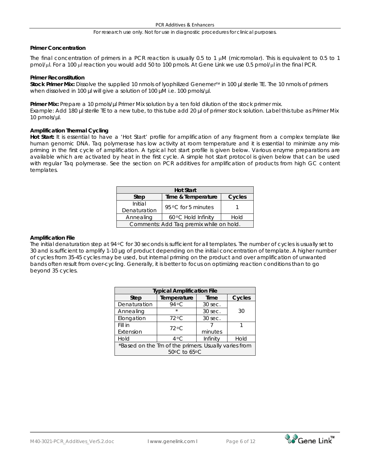#### **Primer Concentration**

The final concentration of primers in a PCR reaction is usually 0.5 to 1  $\mu$ M (micromolar). This is equivalent to 0.5 to 1 pmol/µl. For a 100 µl reaction you would add 50 to 100 pmols. At Gene Link we use 0.5 pmol/µl in the final PCR.

#### **Primer Reconstitution**

Stock Primer Mix: Dissolve the supplied 10 nmols of lyophilized Genemer<sup>™</sup> in 100 µl sterile TE. The 10 nmols of primers when dissolved in 100 µl will give a solution of 100 µM i.e. 100 pmols/µl.

Primer Mix: Prepare a 10 pmols/µl Primer Mix solution by a ten fold dilution of the stock primer mix. Example: Add 180 µl sterile TE to a new tube, to this tube add 20 µl of primer stock solution. Label this tube as Primer Mix 10 pmols/µl.

#### **Amplification Thermal Cycling**

**Hot Start:** It is essential to have a 'Hot Start' profile for amplification of any fragment from a complex template like human genomic DNA. Taq polymerase has low activity at room temperature and it is essential to minimize any mispriming in the first cycle of amplification. A typical hot start profile is given below. Various enzyme preparations are available which are activated by heat in the first cycle. A simple hot start protocol is given below that can be used with regular Taq polymerase. See the section on PCR additives for amplification of products from high GC content templates.

| <b>Hot Start</b>                        |                     |      |  |  |  |
|-----------------------------------------|---------------------|------|--|--|--|
| Time & Temperature<br>Cycles<br>Step    |                     |      |  |  |  |
| Initial<br>Denaturation                 | 95 °C for 5 minutes |      |  |  |  |
| Annealing                               | 60 °C Hold Infinity | Hold |  |  |  |
| Comments: Add Taq premix while on hold. |                     |      |  |  |  |

#### **Amplification File**

The initial denaturation step at 94 °C for 30 seconds is sufficient for all templates. The number of cycles is usually set to 30 and is sufficient to amplify 1-10 µg of product depending on the initial concentration of template. A higher number of cycles from 35-45 cycles may be used, but internal priming on the product and over amplification of unwanted bands often result from over-cycling. Generally, it is better to focus on optimizing reaction conditions than to go beyond 35 cycles.

| <b>Typical Amplification File</b>                    |                |          |        |  |  |
|------------------------------------------------------|----------------|----------|--------|--|--|
| <b>Step</b>                                          | Temperature    | Time     | Cycles |  |  |
| Denaturation                                         | 94 °C          | 30 sec.  |        |  |  |
| Annealing                                            | $\star$        | 30 sec.  | 30     |  |  |
| Elongation                                           | 72 °C          | 30 sec.  |        |  |  |
| Fill in                                              | $72^{\circ}$ C |          |        |  |  |
| Extension                                            |                | minutes  |        |  |  |
| Hold                                                 | $4^{\circ}$ C  | Infinity | Hold   |  |  |
| *Based on the Tm of the primers. Usually varies from |                |          |        |  |  |
| 50°C to 65°C                                         |                |          |        |  |  |

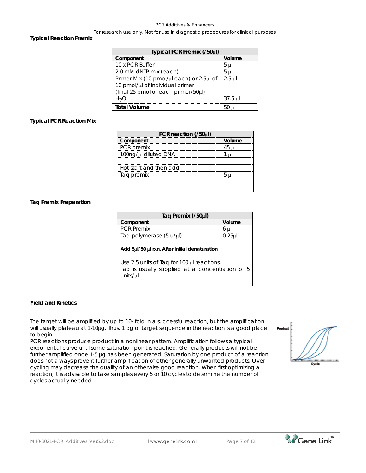#### **Typical Reaction Premix**

| Typical PCR Premix (/50µl)               |                |  |  |  |
|------------------------------------------|----------------|--|--|--|
| Component                                | Volume         |  |  |  |
| 10 x PCR Buffer                          | 5 µl           |  |  |  |
| 2.0 mM dNTP mix (each)                   | 5 <sub>µ</sub> |  |  |  |
| Primer Mix (10 pmol/µl each) or 2.5µl of | $2.5$ ul       |  |  |  |
| 10 pmol/µl of individual primer          |                |  |  |  |
| (final 25 pmol of each primer/50µl)      |                |  |  |  |
| $H_2O$                                   | $37.5$ $\mu$   |  |  |  |
| <b>Total Volume</b>                      | $50$ ul        |  |  |  |

#### **Typical PCR Reaction Mix**

| PCR reaction (/50µl)   |                 |  |  |
|------------------------|-----------------|--|--|
| Component              | Volume          |  |  |
| PCR premix             | 45 ul           |  |  |
| 100ng/µl diluted DNA   | 1 ul            |  |  |
|                        |                 |  |  |
| Hot start and then add |                 |  |  |
| Tag premix             | 5 <sub>ul</sub> |  |  |
|                        |                 |  |  |
|                        |                 |  |  |

#### **Taq Premix Preparation**

| Taq Premix (/50µl)                              |           |  |  |  |
|-------------------------------------------------|-----------|--|--|--|
| Component<br>                                   | Volume    |  |  |  |
| <b>PCR Premix</b>                               | 6 ul      |  |  |  |
| Taq polymerase (5 u/µl)                         | $0.25$ ul |  |  |  |
|                                                 |           |  |  |  |
| Add 5µl/50 µl rxn. After initial denaturation   |           |  |  |  |
|                                                 |           |  |  |  |
| Use 2.5 units of Taq for 100 µl reactions.      |           |  |  |  |
| Tag is usually supplied at a concentration of 5 |           |  |  |  |
| units/µl                                        |           |  |  |  |
|                                                 |           |  |  |  |

#### **Yield and Kinetics**

The target will be amplified by up to 10<sup>6</sup> fold in a successful reaction, but the amplification will usually plateau at 1-10µg. Thus, 1 pg of target sequence in the reaction is a good place to begin.

PCR reactions produce product in a nonlinear pattern. Amplification follows a typical exponential curve until some saturation point is reached. Generally products will not be further amplified once 1-5 µg has been generated. Saturation by one product of a reaction does not always prevent further amplification of other generally unwanted products. Overcycling may decrease the quality of an otherwise good reaction. When first optimizing a reaction, it is advisable to take samples every 5 or 10 cycles to determine the number of cycles actually needed.



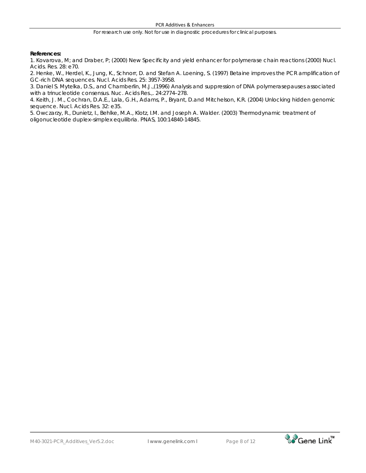#### **References:**

1. Kovarova, M; and Draber, P; (2000) New Specificity and yield enhancer for polymerase chain reactions (2000) Nucl. Acids. Res. 28: e70.

2. Henke, W., Herdel, K., Jung, K., Schnorr, D. and Stefan A. Loening, S. (1997) Betaine improves the PCR amplification of GC-rich DNA sequences. Nucl. Acids Res. 25: 3957-3958.

3. Daniel S. Mytelka, D.S., and Chamberlin, M.J.,(1996) Analysis and suppression of DNA polymerasepauses associated with a trinucleotide consensus. Nuc. Acids Res.,. 24:2774–278.

4. Keith, J. M., Cochran, D.A.E., Lala, G.H., Adams, P., Bryant, D.and Mitchelson, K.R. (2004) Unlocking hidden genomic sequence. Nucl. Acids Res. 32: e35.

5. Owczarzy, R., Dunietz, I., Behlke, M.A., Klotz, I.M. and Joseph A. Walder. (2003) Thermodynamic treatment of oligonucleotide duplex–simplex equilibria. PNAS, 100:14840-14845.

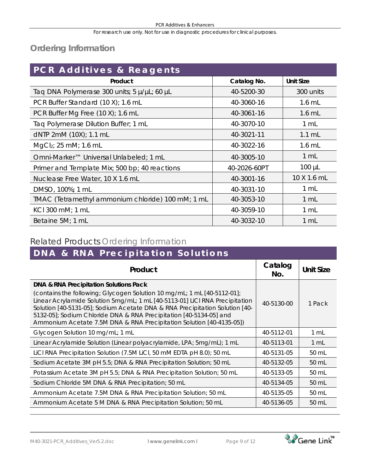# **Ordering Information**

| PCR Additives & Reagents                          |              |                  |  |
|---------------------------------------------------|--------------|------------------|--|
| Product                                           | Catalog No.  | <b>Unit Size</b> |  |
| Taq DNA Polymerase 300 units; 5 µ/µL; 60 µL       | 40-5200-30   | 300 units        |  |
| PCR Buffer Standard (10 X); 1.6 mL                | 40-3060-16   | $1.6$ mL         |  |
| PCR Buffer Mg Free (10 X); 1.6 mL                 | 40-3061-16   | $1.6$ mL         |  |
| Taq Polymerase Dilution Buffer; 1 mL              | 40-3070-10   | $1 \mathrm{m}$   |  |
| dNTP 2mM (10X); 1.1 mL                            | 40-3021-11   | $1.1 \text{ mL}$ |  |
| MgCl <sub>2</sub> ; 25 mM; 1.6 mL                 | 40-3022-16   | $1.6$ mL         |  |
| Omni-Marker™ Universal Unlabeled; 1 mL            | 40-3005-10   | 1 mL             |  |
| Primer and Template Mix; 500 bp; 40 reactions     | 40-2026-60PT | $100 \mu L$      |  |
| Nuclease Free Water, 10 X 1.6 mL                  | 40-3001-16   | 10 X 1.6 mL      |  |
| DMSO, 100%; 1 mL                                  | 40-3031-10   | 1 mL             |  |
| TMAC (Tetramethyl ammonium chloride) 100 mM; 1 mL | 40-3053-10   | 1 mL             |  |
| KCI 300 mM; 1 mL                                  | 40-3059-10   | 1 mL             |  |
| Betaine 5M; 1 mL                                  | 40-3032-10   | 1 mL             |  |

# Related Products Ordering Information

| DNA & RNA Precipitation Solutions                                                                                                                                                                                                                                                                                                                                                                                                        |                |                  |  |  |  |
|------------------------------------------------------------------------------------------------------------------------------------------------------------------------------------------------------------------------------------------------------------------------------------------------------------------------------------------------------------------------------------------------------------------------------------------|----------------|------------------|--|--|--|
| Product                                                                                                                                                                                                                                                                                                                                                                                                                                  | Catalog<br>No. | <b>Unit Size</b> |  |  |  |
| <b>DNA &amp; RNA Precipitation Solutions Pack</b><br>(contains the following; Glycogen Solution 10 mg/mL; 1 mL [40-5112-01];<br>Linear Acrylamide Solution 5mg/mL; 1 mL [40-5113-01] LiCI RNA Precipitation<br>Solution [40-5131-05]; Sodium Acetate DNA & RNA Precipitation Solution [40-<br>5132-05]; Sodium Chloride DNA & RNA Precipitation [40-5134-05] and<br>Ammonium Acetate 7.5M DNA & RNA Precipitation Solution [40-4135-05]) | 40-5130-00     | 1 Pack           |  |  |  |
| Glycogen Solution 10 mg/mL; 1 mL                                                                                                                                                                                                                                                                                                                                                                                                         | 40-5112-01     | 1 mL             |  |  |  |
| Linear Acrylamide Solution (Linear polyacrylamide, LPA; 5mg/mL); 1 mL                                                                                                                                                                                                                                                                                                                                                                    | 40-5113-01     | 1 mL             |  |  |  |
| LiCl RNA Precipitation Solution (7.5M LiCl, 50 mM EDTA pH 8.0); 50 mL                                                                                                                                                                                                                                                                                                                                                                    | 40-5131-05     | 50 mL            |  |  |  |
| Sodium Acetate 3M pH 5.5; DNA & RNA Precipitation Solution; 50 mL                                                                                                                                                                                                                                                                                                                                                                        | 40-5132-05     | 50 mL            |  |  |  |
| Potassium Acetate 3M pH 5.5; DNA & RNA Precipitation Solution; 50 mL                                                                                                                                                                                                                                                                                                                                                                     | 40-5133-05     | 50 mL            |  |  |  |
| Sodium Chloride 5M DNA & RNA Precipitation; 50 mL                                                                                                                                                                                                                                                                                                                                                                                        | 40-5134-05     | 50 mL            |  |  |  |
| Ammonium Acetate 7.5M DNA & RNA Precipitation Solution; 50 mL                                                                                                                                                                                                                                                                                                                                                                            | 40-5135-05     | 50 mL            |  |  |  |
| Ammonium Acetate 5 M DNA & RNA Precipitation Solution; 50 mL                                                                                                                                                                                                                                                                                                                                                                             | 40-5136-05     | 50 mL            |  |  |  |

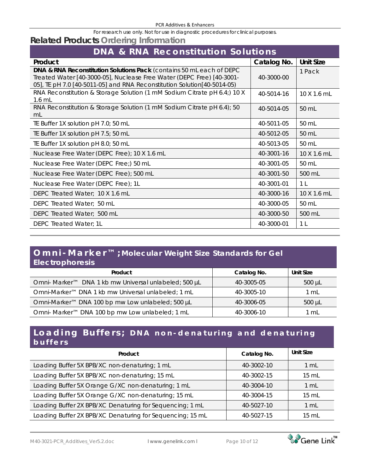## **Related Products Ordering Information**

| <b>DNA &amp; RNA Reconstitution Solutions</b>                                                                                                                                                                             |             |                    |  |  |
|---------------------------------------------------------------------------------------------------------------------------------------------------------------------------------------------------------------------------|-------------|--------------------|--|--|
| Product                                                                                                                                                                                                                   | Catalog No. | <b>Unit Size</b>   |  |  |
| DNA & RNA Reconstitution Solutions Pack (contains 50 mL each of DEPC<br>Treated Water [40-3000-05], Nuclease Free Water (DEPC Free) [40-3001-<br>05], TE pH 7.0 [40-5011-05] and RNA Reconstitution Solution [40-5014-05) | 40-3000-00  | 1 Pack             |  |  |
| RNA Reconstitution & Storage Solution (1 mM Sodium Citrate pH 6.4;) 10 X<br>$1.6$ mL                                                                                                                                      | 40-5014-16  | $10 \times 1.6$ mL |  |  |
| RNA Reconstitution & Storage Solution (1 mM Sodium Citrate pH 6.4); 50<br>mL                                                                                                                                              | 40-5014-05  | 50 mL              |  |  |
| TE Buffer 1X solution pH 7.0; 50 mL                                                                                                                                                                                       | 40-5011-05  | 50 mL              |  |  |
| TE Buffer 1X solution pH 7.5; 50 mL                                                                                                                                                                                       | 40-5012-05  | 50 mL              |  |  |
| TE Buffer 1X solution pH 8.0; 50 mL                                                                                                                                                                                       | 40-5013-05  | 50 mL              |  |  |
| Nuclease Free Water (DEPC Free); 10 X 1.6 mL                                                                                                                                                                              | 40-3001-16  | 10 X 1.6 mL        |  |  |
| Nuclease Free Water (DEPC Free;) 50 mL                                                                                                                                                                                    | 40-3001-05  | 50 mL              |  |  |
| Nuclease Free Water (DEPC Free); 500 mL                                                                                                                                                                                   | 40-3001-50  | 500 mL             |  |  |
| Nuclease Free Water (DEPC Free); 1L                                                                                                                                                                                       | 40-3001-01  | 1 <sup>L</sup>     |  |  |
| DEPC Treated Water; 10 X 1.6 mL                                                                                                                                                                                           | 40-3000-16  | 10 X 1.6 mL        |  |  |
| DEPC Treated Water: 50 mL                                                                                                                                                                                                 | 40-3000-05  | 50 mL              |  |  |
| DEPC Treated Water; 500 mL                                                                                                                                                                                                | 40-3000-50  | 500 mL             |  |  |
| DEPC Treated Water; 1L                                                                                                                                                                                                    | 40-3000-01  | 1 <sup>L</sup>     |  |  |

### **Omni - Marker™; Molecular Weight Size Standards for Gel Electrophoresis**

| Product                                               | Catalog No. | Unit Size      |
|-------------------------------------------------------|-------------|----------------|
| Omni- Marker™ DNA 1 kb mw Universal unlabeled; 500 µL | 40-3005-05  | $500 \mu L$    |
| Omni-Marker™ DNA 1 kb mw Universal unlabeled; 1 mL    | 40-3005-10  | $1 \text{ mL}$ |
| Omni-Marker™ DNA 100 bp mw Low unlabeled; 500 µL      | 40-3006-05  | $500 \mu L$    |
| Omni- Marker™ DNA 100 bp mw Low unlabeled; 1 mL       | 40-3006-10  | 1 mL           |

## **Loading Buffers; DNA non - denaturing and denaturing buffers**

| Product                                                   | Catalog No. | <b>Unit Size</b> |
|-----------------------------------------------------------|-------------|------------------|
| Loading Buffer 5X BPB/XC non-denaturing; 1 mL             | 40-3002-10  | 1 mL             |
| Loading Buffer 5X BPB/XC non-denaturing; 15 mL            | 40-3002-15  | $15 \text{ mL}$  |
| Loading Buffer 5X Orange G/XC non-denaturing; 1 mL        | 40-3004-10  | 1 mL             |
| Loading Buffer 5X Orange G/XC non-denaturing; 15 mL       | 40-3004-15  | $15 \text{ mL}$  |
| Loading Buffer 2X BPB/XC Denaturing for Sequencing; 1 mL  | 40-5027-10  | 1 <sub>mL</sub>  |
| Loading Buffer 2X BPB/XC Denaturing for Sequencing; 15 mL | 40-5027-15  | $15 \text{ mL}$  |

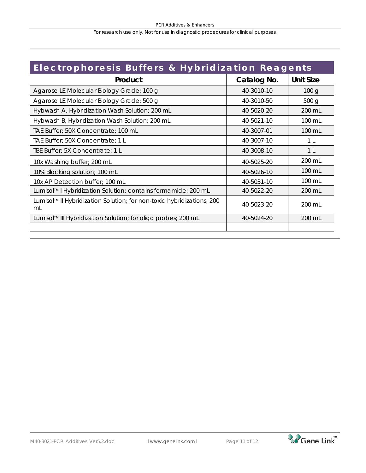#### PCR Additives & Enhancers

For research use only. Not for use in diagnostic procedures for clinical purposes.

| Electrophoresis Buffers & Hybridization Reagents                            |             |                  |  |
|-----------------------------------------------------------------------------|-------------|------------------|--|
| Product                                                                     | Catalog No. |                  |  |
| Agarose LE Molecular Biology Grade; 100 g                                   | 40-3010-10  | 100 <sub>q</sub> |  |
| Agarose LE Molecular Biology Grade; 500 g                                   | 40-3010-50  | 500 <sub>g</sub> |  |
| Hybwash A, Hybridization Wash Solution; 200 mL                              | 40-5020-20  | 200 mL           |  |
| Hybwash B, Hybridization Wash Solution; 200 mL                              | 40-5021-10  | 100 mL           |  |
| TAE Buffer; 50X Concentrate; 100 mL                                         | 40-3007-01  | 100 mL           |  |
| TAE Buffer; 50X Concentrate; 1 L                                            | 40-3007-10  | 1 L              |  |
| TBE Buffer; 5X Concentrate; 1 L                                             | 40-3008-10  | 1 <sup>L</sup>   |  |
| 10x Washing buffer; 200 mL                                                  | 40-5025-20  | 200 mL           |  |
| 10% Blocking solution; 100 mL                                               | 40-5026-10  | $100 \text{ mL}$ |  |
| 10x AP Detection buffer; 100 mL                                             | 40-5031-10  | $100 \text{ mL}$ |  |
| Lumisol™ I Hybridization Solution; contains formamide; 200 mL               | 40-5022-20  | 200 mL           |  |
| Lumisol™ II Hybridization Solution; for non-toxic hybridizations; 200<br>mL | 40-5023-20  | 200 mL           |  |
| Lumisol™ III Hybridization Solution; for oligo probes; 200 mL               | 40-5024-20  | 200 mL           |  |
|                                                                             |             |                  |  |